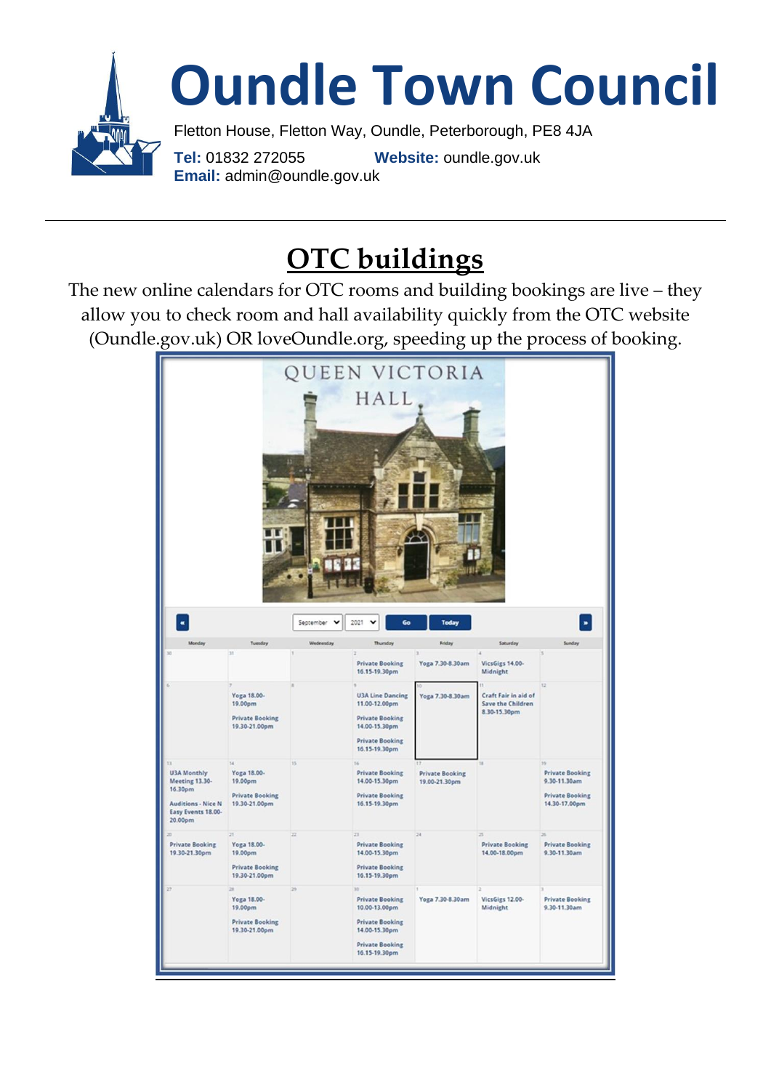

## **OTC buildings**

The new online calendars for OTC rooms and building bookings are live – they allow you to check room and hall availability quickly from the OTC website (Oundle.gov.uk) OR loveOundle.org, speeding up the process of booking.

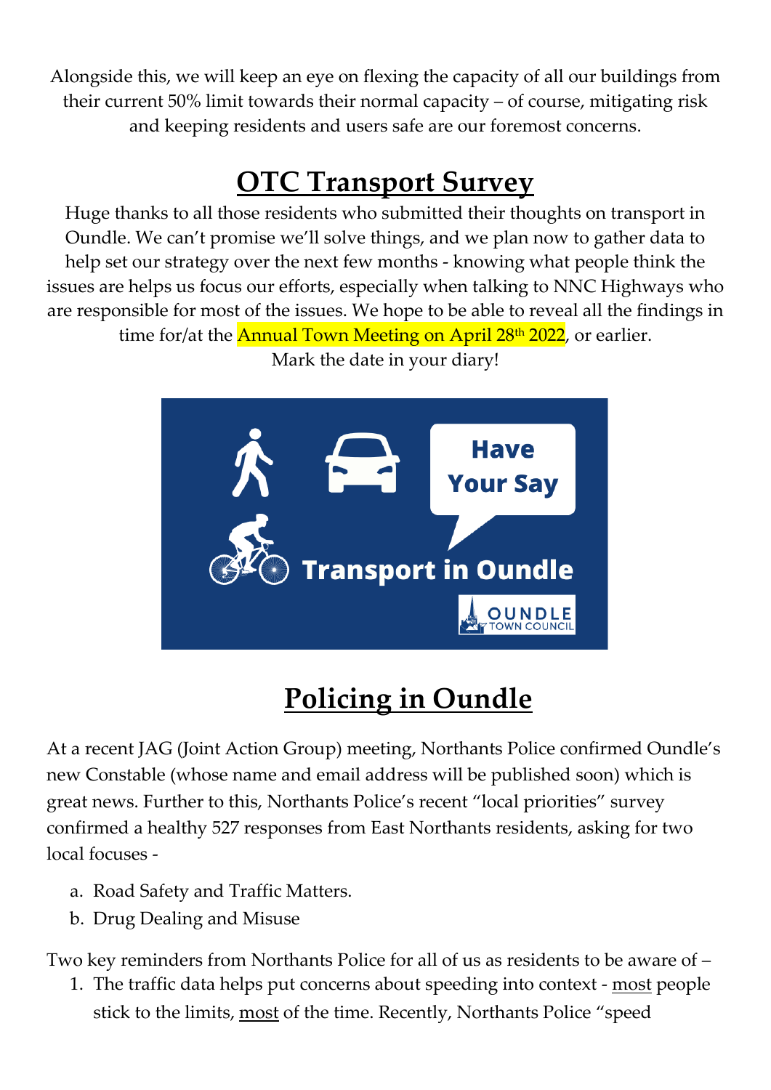Alongside this, we will keep an eye on flexing the capacity of all our buildings from their current 50% limit towards their normal capacity – of course, mitigating risk and keeping residents and users safe are our foremost concerns.

## **OTC Transport Survey**

Huge thanks to all those residents who submitted their thoughts on transport in Oundle. We can't promise we'll solve things, and we plan now to gather data to help set our strategy over the next few months - knowing what people think the issues are helps us focus our efforts, especially when talking to NNC Highways who are responsible for most of the issues. We hope to be able to reveal all the findings in

time for/at the **Annual Town Meeting on April 28<sup>th</sup> 2022**, or earlier.

Mark the date in your diary!



# **Policing in Oundle**

At a recent JAG (Joint Action Group) meeting, Northants Police confirmed Oundle's new Constable (whose name and email address will be published soon) which is great news. Further to this, Northants Police's recent "local priorities" survey confirmed a healthy 527 responses from East Northants residents, asking for two local focuses -

- a. Road Safety and Traffic Matters.
- b. Drug Dealing and Misuse

Two key reminders from Northants Police for all of us as residents to be aware of –

1. The traffic data helps put concerns about speeding into context - most people stick to the limits, most of the time. Recently, Northants Police "speed